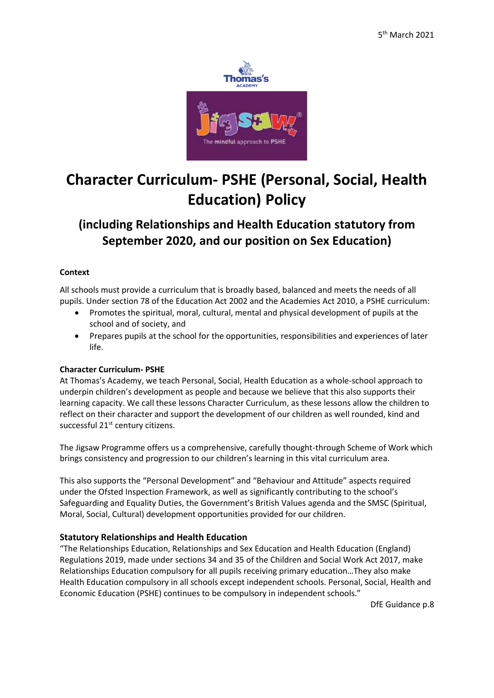

# **Character Curriculum- PSHE (Personal, Social, Health Education) Policy**

# **(including Relationships and Health Education statutory from September 2020, and our position on Sex Education)**

#### **Context**

All schools must provide a curriculum that is broadly based, balanced and meets the needs of all pupils. Under section 78 of the Education Act 2002 and the Academies Act 2010, a PSHE curriculum:

- Promotes the spiritual, moral, cultural, mental and physical development of pupils at the school and of society, and
- Prepares pupils at the school for the opportunities, responsibilities and experiences of later life.

# **Character Curriculum- PSHE**

At Thomas's Academy, we teach Personal, Social, Health Education as a whole-school approach to underpin children's development as people and because we believe that this also supports their learning capacity. We call these lessons Character Curriculum, as these lessons allow the children to reflect on their character and support the development of our children as well rounded, kind and successful 21<sup>st</sup> century citizens.

The Jigsaw Programme offers us a comprehensive, carefully thought-through Scheme of Work which brings consistency and progression to our children's learning in this vital curriculum area.

This also supports the "Personal Development" and "Behaviour and Attitude" aspects required under the Ofsted Inspection Framework, as well as significantly contributing to the school's Safeguarding and Equality Duties, the Government's British Values agenda and the SMSC (Spiritual, Moral, Social, Cultural) development opportunities provided for our children.

# **Statutory Relationships and Health Education**

"The Relationships Education, Relationships and Sex Education and Health Education (England) Regulations 2019, made under sections 34 and 35 of the Children and Social Work Act 2017, make Relationships Education compulsory for all pupils receiving primary education…They also make Health Education compulsory in all schools except independent schools. Personal, Social, Health and Economic Education (PSHE) continues to be compulsory in independent schools."

DfE Guidance p.8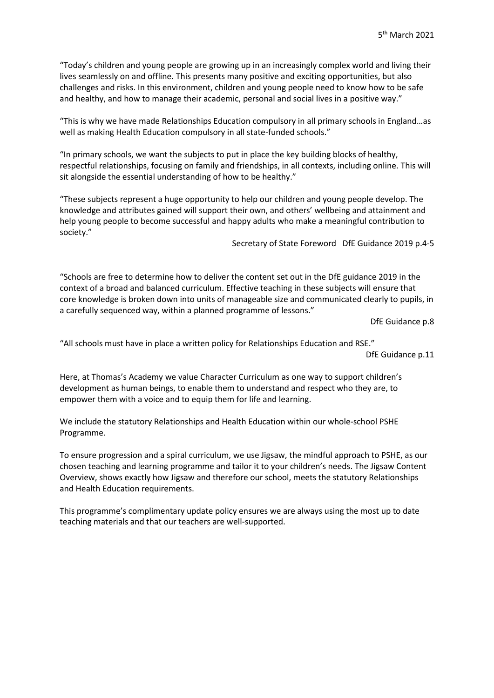"Today's children and young people are growing up in an increasingly complex world and living their lives seamlessly on and offline. This presents many positive and exciting opportunities, but also challenges and risks. In this environment, children and young people need to know how to be safe and healthy, and how to manage their academic, personal and social lives in a positive way."

"This is why we have made Relationships Education compulsory in all primary schools in England…as well as making Health Education compulsory in all state-funded schools."

"In primary schools, we want the subjects to put in place the key building blocks of healthy, respectful relationships, focusing on family and friendships, in all contexts, including online. This will sit alongside the essential understanding of how to be healthy."

"These subjects represent a huge opportunity to help our children and young people develop. The knowledge and attributes gained will support their own, and others' wellbeing and attainment and help young people to become successful and happy adults who make a meaningful contribution to society."

Secretary of State Foreword DfE Guidance 2019 p.4-5

"Schools are free to determine how to deliver the content set out in the DfE guidance 2019 in the context of a broad and balanced curriculum. Effective teaching in these subjects will ensure that core knowledge is broken down into units of manageable size and communicated clearly to pupils, in a carefully sequenced way, within a planned programme of lessons."

DfE Guidance p.8

"All schools must have in place a written policy for Relationships Education and RSE."

DfE Guidance p.11

Here, at Thomas's Academy we value Character Curriculum as one way to support children's development as human beings, to enable them to understand and respect who they are, to empower them with a voice and to equip them for life and learning.

We include the statutory Relationships and Health Education within our whole-school PSHE Programme.

To ensure progression and a spiral curriculum, we use Jigsaw, the mindful approach to PSHE, as our chosen teaching and learning programme and tailor it to your children's needs. The Jigsaw Content Overview, shows exactly how Jigsaw and therefore our school, meets the statutory Relationships and Health Education requirements.

This programme's complimentary update policy ensures we are always using the most up to date teaching materials and that our teachers are well-supported.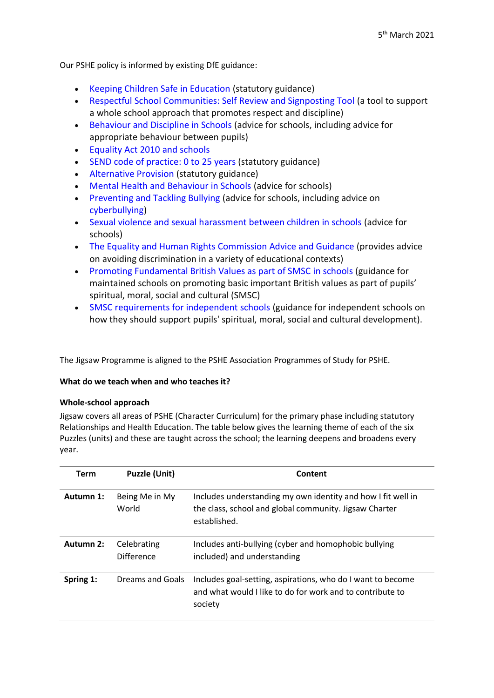Our PSHE policy is informed by existing DfE guidance:

- Keeping Children Safe in Education (statutory guidance)
- Respectful School Communities: Self Review and Signposting Tool (a tool to support a whole school approach that promotes respect and discipline)
- Behaviour and Discipline in Schools (advice for schools, including advice for appropriate behaviour between pupils)
- Equality Act 2010 and schools
- SEND code of practice: 0 to 25 years (statutory guidance)
- Alternative Provision (statutory guidance)
- Mental Health and Behaviour in Schools (advice for schools)
- Preventing and Tackling Bullying (advice for schools, including advice on cyberbullying)
- Sexual violence and sexual harassment between children in schools (advice for schools)
- The Equality and Human Rights Commission Advice and Guidance (provides advice on avoiding discrimination in a variety of educational contexts)
- Promoting Fundamental British Values as part of SMSC in schools (guidance for maintained schools on promoting basic important British values as part of pupils' spiritual, moral, social and cultural (SMSC)
- SMSC requirements for independent schools (guidance for independent schools on how they should support pupils' spiritual, moral, social and cultural development).

The Jigsaw Programme is aligned to the PSHE Association Programmes of Study for PSHE.

#### **What do we teach when and who teaches it?**

#### **Whole-school approach**

Jigsaw covers all areas of PSHE (Character Curriculum) for the primary phase including statutory Relationships and Health Education. The table below gives the learning theme of each of the six Puzzles (units) and these are taught across the school; the learning deepens and broadens every year.

| <b>Term</b> | <b>Puzzle (Unit)</b>      | Content                                                                                                                                |
|-------------|---------------------------|----------------------------------------------------------------------------------------------------------------------------------------|
| Autumn 1:   | Being Me in My<br>World   | Includes understanding my own identity and how I fit well in<br>the class, school and global community. Jigsaw Charter<br>established. |
| Autumn 2:   | Celebrating<br>Difference | Includes anti-bullying (cyber and homophobic bullying<br>included) and understanding                                                   |
| Spring 1:   | Dreams and Goals          | Includes goal-setting, aspirations, who do I want to become<br>and what would I like to do for work and to contribute to<br>society    |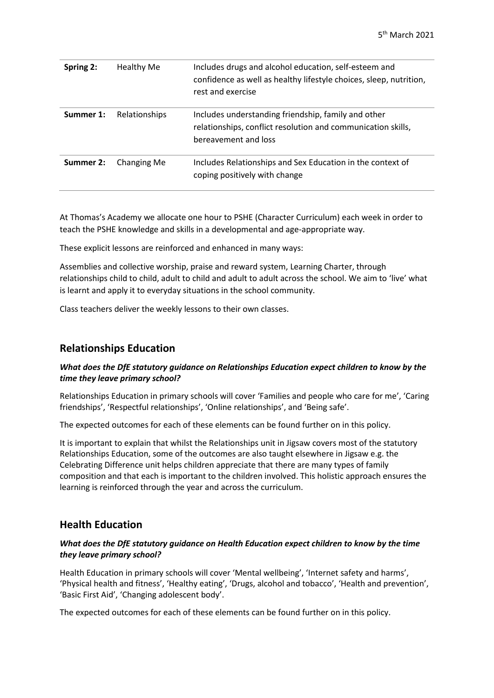| Spring 2: | <b>Healthy Me</b> | Includes drugs and alcohol education, self-esteem and<br>confidence as well as healthy lifestyle choices, sleep, nutrition,<br>rest and exercise |
|-----------|-------------------|--------------------------------------------------------------------------------------------------------------------------------------------------|
| Summer 1: | Relationships     | Includes understanding friendship, family and other<br>relationships, conflict resolution and communication skills,<br>bereavement and loss      |
| Summer 2: | Changing Me       | Includes Relationships and Sex Education in the context of<br>coping positively with change                                                      |

At Thomas's Academy we allocate one hour to PSHE (Character Curriculum) each week in order to teach the PSHE knowledge and skills in a developmental and age-appropriate way.

These explicit lessons are reinforced and enhanced in many ways:

Assemblies and collective worship, praise and reward system, Learning Charter, through relationships child to child, adult to child and adult to adult across the school. We aim to 'live' what is learnt and apply it to everyday situations in the school community.

Class teachers deliver the weekly lessons to their own classes.

# **Relationships Education**

#### *What does the DfE statutory guidance on Relationships Education expect children to know by the time they leave primary school?*

Relationships Education in primary schools will cover 'Families and people who care for me', 'Caring friendships', 'Respectful relationships', 'Online relationships', and 'Being safe'.

The expected outcomes for each of these elements can be found further on in this policy.

It is important to explain that whilst the Relationships unit in Jigsaw covers most of the statutory Relationships Education, some of the outcomes are also taught elsewhere in Jigsaw e.g. the Celebrating Difference unit helps children appreciate that there are many types of family composition and that each is important to the children involved. This holistic approach ensures the learning is reinforced through the year and across the curriculum.

# **Health Education**

#### *What does the DfE statutory guidance on Health Education expect children to know by the time they leave primary school?*

Health Education in primary schools will cover 'Mental wellbeing', 'Internet safety and harms', 'Physical health and fitness', 'Healthy eating', 'Drugs, alcohol and tobacco', 'Health and prevention', 'Basic First Aid', 'Changing adolescent body'.

The expected outcomes for each of these elements can be found further on in this policy.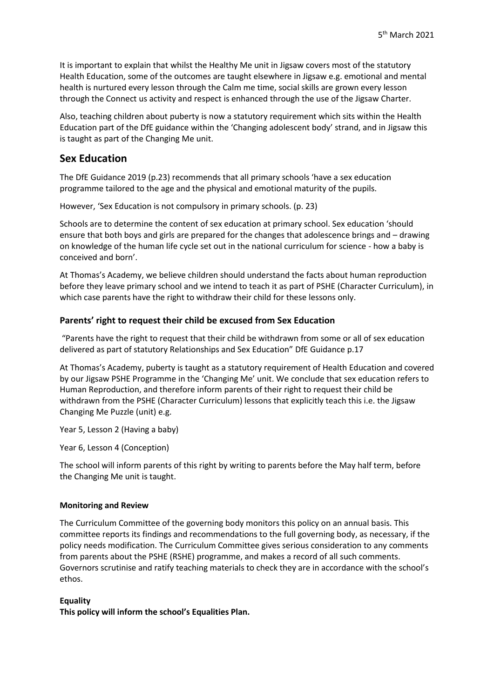It is important to explain that whilst the Healthy Me unit in Jigsaw covers most of the statutory Health Education, some of the outcomes are taught elsewhere in Jigsaw e.g. emotional and mental health is nurtured every lesson through the Calm me time, social skills are grown every lesson through the Connect us activity and respect is enhanced through the use of the Jigsaw Charter.

Also, teaching children about puberty is now a statutory requirement which sits within the Health Education part of the DfE guidance within the 'Changing adolescent body' strand, and in Jigsaw this is taught as part of the Changing Me unit.

# **Sex Education**

The DfE Guidance 2019 (p.23) recommends that all primary schools 'have a sex education programme tailored to the age and the physical and emotional maturity of the pupils.

However, 'Sex Education is not compulsory in primary schools. (p. 23)

Schools are to determine the content of sex education at primary school. Sex education 'should ensure that both boys and girls are prepared for the changes that adolescence brings and – drawing on knowledge of the human life cycle set out in the national curriculum for science - how a baby is conceived and born'.

At Thomas's Academy, we believe children should understand the facts about human reproduction before they leave primary school and we intend to teach it as part of PSHE (Character Curriculum), in which case parents have the right to withdraw their child for these lessons only.

# **Parents' right to request their child be excused from Sex Education**

"Parents have the right to request that their child be withdrawn from some or all of sex education delivered as part of statutory Relationships and Sex Education" DfE Guidance p.17

At Thomas's Academy, puberty is taught as a statutory requirement of Health Education and covered by our Jigsaw PSHE Programme in the 'Changing Me' unit. We conclude that sex education refers to Human Reproduction, and therefore inform parents of their right to request their child be withdrawn from the PSHE (Character Curriculum) lessons that explicitly teach this i.e. the Jigsaw Changing Me Puzzle (unit) e.g.

Year 5, Lesson 2 (Having a baby)

Year 6, Lesson 4 (Conception)

The school will inform parents of this right by writing to parents before the May half term, before the Changing Me unit is taught.

# **Monitoring and Review**

The Curriculum Committee of the governing body monitors this policy on an annual basis. This committee reports its findings and recommendations to the full governing body, as necessary, if the policy needs modification. The Curriculum Committee gives serious consideration to any comments from parents about the PSHE (RSHE) programme, and makes a record of all such comments. Governors scrutinise and ratify teaching materials to check they are in accordance with the school's ethos.

**Equality**

**This policy will inform the school's Equalities Plan.**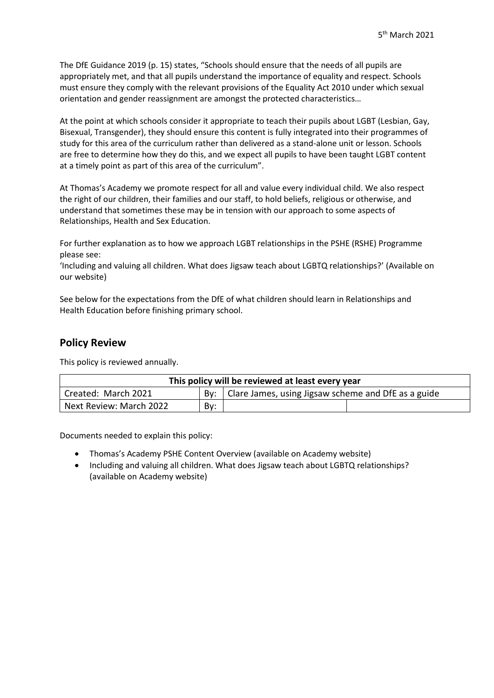The DfE Guidance 2019 (p. 15) states, "Schools should ensure that the needs of all pupils are appropriately met, and that all pupils understand the importance of equality and respect. Schools must ensure they comply with the relevant provisions of the Equality Act 2010 under which sexual orientation and gender reassignment are amongst the protected characteristics…

At the point at which schools consider it appropriate to teach their pupils about LGBT (Lesbian, Gay, Bisexual, Transgender), they should ensure this content is fully integrated into their programmes of study for this area of the curriculum rather than delivered as a stand-alone unit or lesson. Schools are free to determine how they do this, and we expect all pupils to have been taught LGBT content at a timely point as part of this area of the curriculum".

At Thomas's Academy we promote respect for all and value every individual child. We also respect the right of our children, their families and our staff, to hold beliefs, religious or otherwise, and understand that sometimes these may be in tension with our approach to some aspects of Relationships, Health and Sex Education.

For further explanation as to how we approach LGBT relationships in the PSHE (RSHE) Programme please see:

'Including and valuing all children. What does Jigsaw teach about LGBTQ relationships?' (Available on our website)

See below for the expectations from the DfE of what children should learn in Relationships and Health Education before finishing primary school.

# **Policy Review**

This policy is reviewed annually.

| This policy will be reviewed at least every year                                               |     |  |  |
|------------------------------------------------------------------------------------------------|-----|--|--|
| <sup>1</sup> Clare James, using Jigsaw scheme and DfE as a guide<br>Created: March 2021<br>Bv: |     |  |  |
| Next Review: March 2022                                                                        | By: |  |  |

Documents needed to explain this policy:

- Thomas's Academy PSHE Content Overview (available on Academy website)
- Including and valuing all children. What does Jigsaw teach about LGBTQ relationships? (available on Academy website)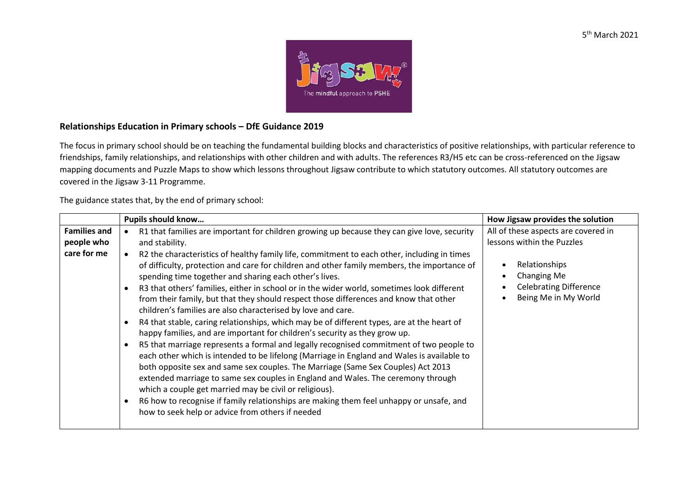

# **Relationships Education in Primary schools – DfE Guidance 2019**

The focus in primary school should be on teaching the fundamental building blocks and characteristics of positive relationships, with particular reference to friendships, family relationships, and relationships with other children and with adults. The references R3/H5 etc can be cross-referenced on the Jigsaw mapping documents and Puzzle Maps to show which lessons throughout Jigsaw contribute to which statutory outcomes. All statutory outcomes are covered in the Jigsaw 3-11 Programme.

The guidance states that, by the end of primary school:

|                                                  | Pupils should know                                                                                                                                                                                                                                                                                                                                                                                                                                                                                                                                                                                                                                                                                                                                                                                                                                                                                                                                                                                                                                                                                                                                                                                                                                                                                                                                                                 | How Jigsaw provides the solution                                                                                                                           |
|--------------------------------------------------|------------------------------------------------------------------------------------------------------------------------------------------------------------------------------------------------------------------------------------------------------------------------------------------------------------------------------------------------------------------------------------------------------------------------------------------------------------------------------------------------------------------------------------------------------------------------------------------------------------------------------------------------------------------------------------------------------------------------------------------------------------------------------------------------------------------------------------------------------------------------------------------------------------------------------------------------------------------------------------------------------------------------------------------------------------------------------------------------------------------------------------------------------------------------------------------------------------------------------------------------------------------------------------------------------------------------------------------------------------------------------------|------------------------------------------------------------------------------------------------------------------------------------------------------------|
| <b>Families and</b><br>people who<br>care for me | R1 that families are important for children growing up because they can give love, security<br>and stability.<br>R2 the characteristics of healthy family life, commitment to each other, including in times<br>of difficulty, protection and care for children and other family members, the importance of<br>spending time together and sharing each other's lives.<br>R3 that others' families, either in school or in the wider world, sometimes look different<br>from their family, but that they should respect those differences and know that other<br>children's families are also characterised by love and care.<br>R4 that stable, caring relationships, which may be of different types, are at the heart of<br>happy families, and are important for children's security as they grow up.<br>R5 that marriage represents a formal and legally recognised commitment of two people to<br>each other which is intended to be lifelong (Marriage in England and Wales is available to<br>both opposite sex and same sex couples. The Marriage (Same Sex Couples) Act 2013<br>extended marriage to same sex couples in England and Wales. The ceremony through<br>which a couple get married may be civil or religious).<br>R6 how to recognise if family relationships are making them feel unhappy or unsafe, and<br>how to seek help or advice from others if needed | All of these aspects are covered in<br>lessons within the Puzzles<br>Relationships<br>Changing Me<br><b>Celebrating Difference</b><br>Being Me in My World |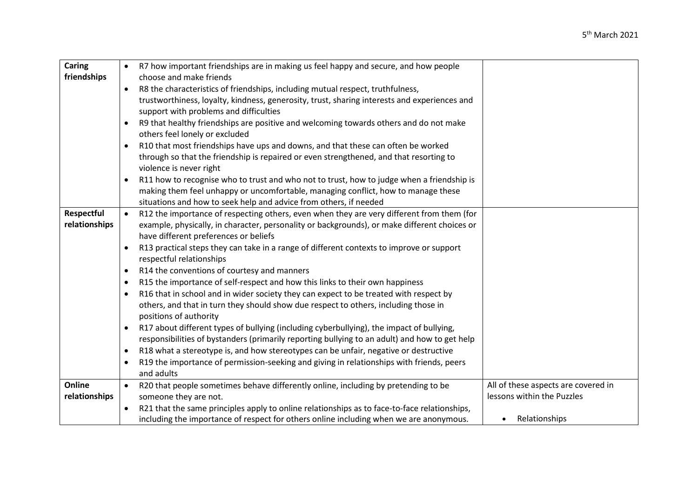| Caring        | $\bullet$ | R7 how important friendships are in making us feel happy and secure, and how people           |                                     |
|---------------|-----------|-----------------------------------------------------------------------------------------------|-------------------------------------|
| friendships   |           | choose and make friends                                                                       |                                     |
|               | $\bullet$ | R8 the characteristics of friendships, including mutual respect, truthfulness,                |                                     |
|               |           | trustworthiness, loyalty, kindness, generosity, trust, sharing interests and experiences and  |                                     |
|               |           | support with problems and difficulties                                                        |                                     |
|               | $\bullet$ | R9 that healthy friendships are positive and welcoming towards others and do not make         |                                     |
|               |           | others feel lonely or excluded                                                                |                                     |
|               | $\bullet$ | R10 that most friendships have ups and downs, and that these can often be worked              |                                     |
|               |           | through so that the friendship is repaired or even strengthened, and that resorting to        |                                     |
|               |           | violence is never right                                                                       |                                     |
|               | $\bullet$ | R11 how to recognise who to trust and who not to trust, how to judge when a friendship is     |                                     |
|               |           | making them feel unhappy or uncomfortable, managing conflict, how to manage these             |                                     |
|               |           | situations and how to seek help and advice from others, if needed                             |                                     |
| Respectful    | $\bullet$ | R12 the importance of respecting others, even when they are very different from them (for     |                                     |
| relationships |           | example, physically, in character, personality or backgrounds), or make different choices or  |                                     |
|               |           | have different preferences or beliefs                                                         |                                     |
|               | $\bullet$ | R13 practical steps they can take in a range of different contexts to improve or support      |                                     |
|               |           | respectful relationships                                                                      |                                     |
|               | $\bullet$ | R14 the conventions of courtesy and manners                                                   |                                     |
|               | $\bullet$ | R15 the importance of self-respect and how this links to their own happiness                  |                                     |
|               | $\bullet$ | R16 that in school and in wider society they can expect to be treated with respect by         |                                     |
|               |           | others, and that in turn they should show due respect to others, including those in           |                                     |
|               |           | positions of authority                                                                        |                                     |
|               | $\bullet$ | R17 about different types of bullying (including cyberbullying), the impact of bullying,      |                                     |
|               |           | responsibilities of bystanders (primarily reporting bullying to an adult) and how to get help |                                     |
|               | $\bullet$ | R18 what a stereotype is, and how stereotypes can be unfair, negative or destructive          |                                     |
|               | $\bullet$ | R19 the importance of permission-seeking and giving in relationships with friends, peers      |                                     |
|               |           | and adults                                                                                    |                                     |
| Online        | $\bullet$ | R20 that people sometimes behave differently online, including by pretending to be            | All of these aspects are covered in |
| relationships |           | someone they are not.                                                                         | lessons within the Puzzles          |
|               | $\bullet$ | R21 that the same principles apply to online relationships as to face-to-face relationships,  |                                     |
|               |           | including the importance of respect for others online including when we are anonymous.        | Relationships<br>$\bullet$          |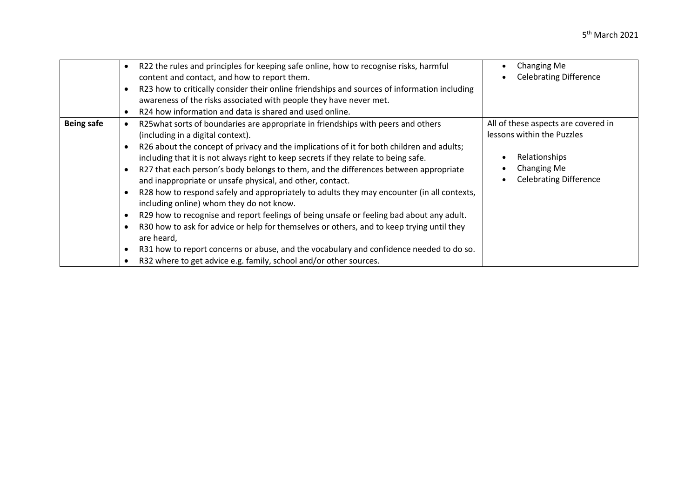|                   | R22 the rules and principles for keeping safe online, how to recognise risks, harmful<br>content and contact, and how to report them.<br>R23 how to critically consider their online friendships and sources of information including<br>awareness of the risks associated with people they have never met.<br>R24 how information and data is shared and used online.<br>$\bullet$                                                                                                                                                                                                                                                                                                                                                                                                                                                                                                                                                                                                                                      | Changing Me<br><b>Celebrating Difference</b>                                                                                       |
|-------------------|--------------------------------------------------------------------------------------------------------------------------------------------------------------------------------------------------------------------------------------------------------------------------------------------------------------------------------------------------------------------------------------------------------------------------------------------------------------------------------------------------------------------------------------------------------------------------------------------------------------------------------------------------------------------------------------------------------------------------------------------------------------------------------------------------------------------------------------------------------------------------------------------------------------------------------------------------------------------------------------------------------------------------|------------------------------------------------------------------------------------------------------------------------------------|
| <b>Being safe</b> | R25what sorts of boundaries are appropriate in friendships with peers and others<br>(including in a digital context).<br>R26 about the concept of privacy and the implications of it for both children and adults;<br>٠<br>including that it is not always right to keep secrets if they relate to being safe.<br>R27 that each person's body belongs to them, and the differences between appropriate<br>$\bullet$<br>and inappropriate or unsafe physical, and other, contact.<br>R28 how to respond safely and appropriately to adults they may encounter (in all contexts,<br>٠<br>including online) whom they do not know.<br>R29 how to recognise and report feelings of being unsafe or feeling bad about any adult.<br>$\bullet$<br>R30 how to ask for advice or help for themselves or others, and to keep trying until they<br>are heard,<br>R31 how to report concerns or abuse, and the vocabulary and confidence needed to do so.<br>٠<br>R32 where to get advice e.g. family, school and/or other sources. | All of these aspects are covered in<br>lessons within the Puzzles<br>Relationships<br>Changing Me<br><b>Celebrating Difference</b> |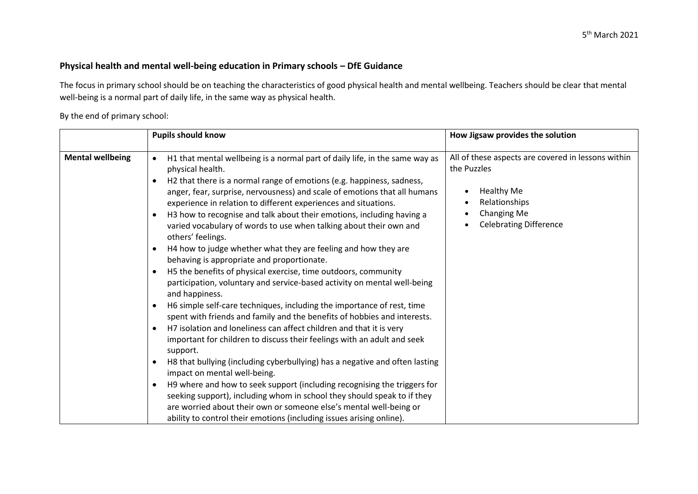# **Physical health and mental well-being education in Primary schools – DfE Guidance**

The focus in primary school should be on teaching the characteristics of good physical health and mental wellbeing. Teachers should be clear that mental well-being is a normal part of daily life, in the same way as physical health.

By the end of primary school:

|                         | <b>Pupils should know</b>                                                                                                                                                                                                                                                                                                                                                                                                                                                                                                                                                                                                                                                                                                                                                                                                                                                                                                                                                                                                                                                                                                                                                                                                                                     | How Jigsaw provides the solution                                                                                                                                                               |
|-------------------------|---------------------------------------------------------------------------------------------------------------------------------------------------------------------------------------------------------------------------------------------------------------------------------------------------------------------------------------------------------------------------------------------------------------------------------------------------------------------------------------------------------------------------------------------------------------------------------------------------------------------------------------------------------------------------------------------------------------------------------------------------------------------------------------------------------------------------------------------------------------------------------------------------------------------------------------------------------------------------------------------------------------------------------------------------------------------------------------------------------------------------------------------------------------------------------------------------------------------------------------------------------------|------------------------------------------------------------------------------------------------------------------------------------------------------------------------------------------------|
| <b>Mental wellbeing</b> | H1 that mental wellbeing is a normal part of daily life, in the same way as<br>$\bullet$<br>physical health.<br>H2 that there is a normal range of emotions (e.g. happiness, sadness,<br>$\bullet$<br>anger, fear, surprise, nervousness) and scale of emotions that all humans<br>experience in relation to different experiences and situations.<br>H3 how to recognise and talk about their emotions, including having a<br>varied vocabulary of words to use when talking about their own and<br>others' feelings.<br>H4 how to judge whether what they are feeling and how they are<br>behaving is appropriate and proportionate.<br>H5 the benefits of physical exercise, time outdoors, community<br>$\bullet$<br>participation, voluntary and service-based activity on mental well-being<br>and happiness.<br>H6 simple self-care techniques, including the importance of rest, time<br>$\bullet$<br>spent with friends and family and the benefits of hobbies and interests.<br>H7 isolation and loneliness can affect children and that it is very<br>$\bullet$<br>important for children to discuss their feelings with an adult and seek<br>support.<br>H8 that bullying (including cyberbullying) has a negative and often lasting<br>$\bullet$ | All of these aspects are covered in lessons within<br>the Puzzles<br><b>Healthy Me</b><br>Relationships<br>$\bullet$<br>Changing Me<br>$\bullet$<br><b>Celebrating Difference</b><br>$\bullet$ |
|                         | impact on mental well-being.                                                                                                                                                                                                                                                                                                                                                                                                                                                                                                                                                                                                                                                                                                                                                                                                                                                                                                                                                                                                                                                                                                                                                                                                                                  |                                                                                                                                                                                                |
|                         | H9 where and how to seek support (including recognising the triggers for<br>$\bullet$<br>seeking support), including whom in school they should speak to if they<br>are worried about their own or someone else's mental well-being or<br>ability to control their emotions (including issues arising online).                                                                                                                                                                                                                                                                                                                                                                                                                                                                                                                                                                                                                                                                                                                                                                                                                                                                                                                                                |                                                                                                                                                                                                |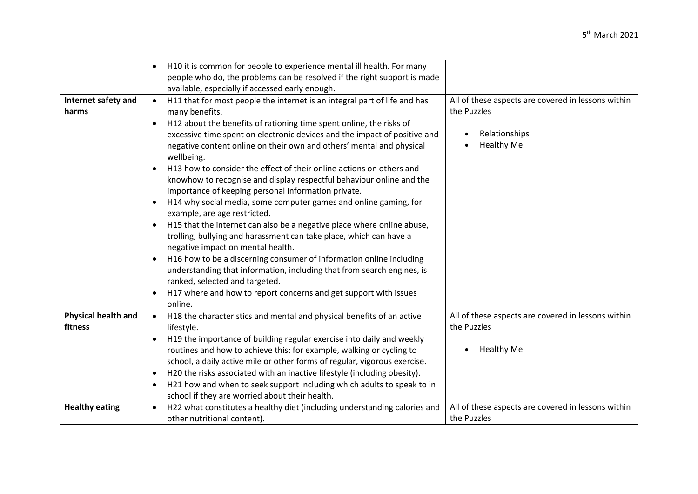|                                       | H10 it is common for people to experience mental ill health. For many                                                                                                                                                                                                                                                                                                                                                                                                                                                                                                                                                                                                                                                                                                                                                                                                                                   |                                                                                                         |
|---------------------------------------|---------------------------------------------------------------------------------------------------------------------------------------------------------------------------------------------------------------------------------------------------------------------------------------------------------------------------------------------------------------------------------------------------------------------------------------------------------------------------------------------------------------------------------------------------------------------------------------------------------------------------------------------------------------------------------------------------------------------------------------------------------------------------------------------------------------------------------------------------------------------------------------------------------|---------------------------------------------------------------------------------------------------------|
|                                       | people who do, the problems can be resolved if the right support is made                                                                                                                                                                                                                                                                                                                                                                                                                                                                                                                                                                                                                                                                                                                                                                                                                                |                                                                                                         |
|                                       |                                                                                                                                                                                                                                                                                                                                                                                                                                                                                                                                                                                                                                                                                                                                                                                                                                                                                                         |                                                                                                         |
| Internet safety and<br>harms          | available, especially if accessed early enough.<br>H11 that for most people the internet is an integral part of life and has<br>$\bullet$<br>many benefits.<br>H12 about the benefits of rationing time spent online, the risks of<br>$\bullet$<br>excessive time spent on electronic devices and the impact of positive and<br>negative content online on their own and others' mental and physical<br>wellbeing.<br>H13 how to consider the effect of their online actions on others and<br>$\bullet$<br>knowhow to recognise and display respectful behaviour online and the<br>importance of keeping personal information private.<br>H14 why social media, some computer games and online gaming, for<br>$\bullet$<br>example, are age restricted.<br>H15 that the internet can also be a negative place where online abuse,<br>trolling, bullying and harassment can take place, which can have a | All of these aspects are covered in lessons within<br>the Puzzles<br>Relationships<br><b>Healthy Me</b> |
|                                       | negative impact on mental health.<br>H16 how to be a discerning consumer of information online including<br>understanding that information, including that from search engines, is<br>ranked, selected and targeted.<br>H17 where and how to report concerns and get support with issues<br>online.                                                                                                                                                                                                                                                                                                                                                                                                                                                                                                                                                                                                     |                                                                                                         |
| <b>Physical health and</b><br>fitness | H18 the characteristics and mental and physical benefits of an active<br>$\bullet$<br>lifestyle.<br>H19 the importance of building regular exercise into daily and weekly<br>routines and how to achieve this; for example, walking or cycling to<br>school, a daily active mile or other forms of regular, vigorous exercise.<br>H20 the risks associated with an inactive lifestyle (including obesity).<br>$\bullet$<br>H21 how and when to seek support including which adults to speak to in<br>school if they are worried about their health.                                                                                                                                                                                                                                                                                                                                                     | All of these aspects are covered in lessons within<br>the Puzzles<br><b>Healthy Me</b>                  |
| <b>Healthy eating</b>                 | H22 what constitutes a healthy diet (including understanding calories and<br>$\bullet$<br>other nutritional content).                                                                                                                                                                                                                                                                                                                                                                                                                                                                                                                                                                                                                                                                                                                                                                                   | All of these aspects are covered in lessons within<br>the Puzzles                                       |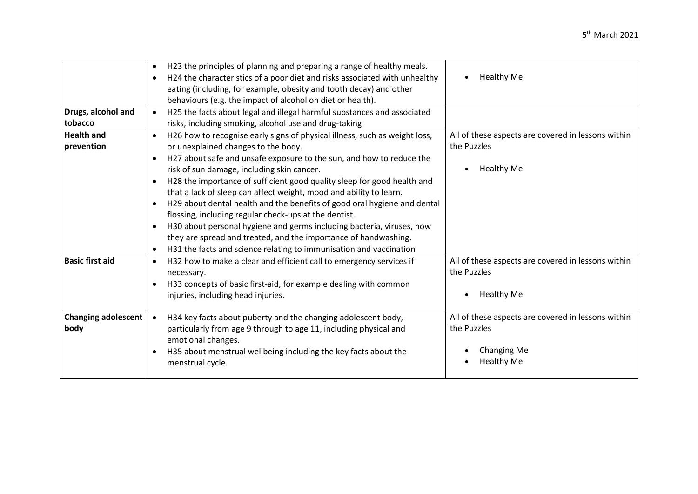|                            | H23 the principles of planning and preparing a range of healthy meals.<br>٠<br>H24 the characteristics of a poor diet and risks associated with unhealthy<br>$\bullet$<br>eating (including, for example, obesity and tooth decay) and other<br>behaviours (e.g. the impact of alcohol on diet or health). | <b>Healthy Me</b>                                  |
|----------------------------|------------------------------------------------------------------------------------------------------------------------------------------------------------------------------------------------------------------------------------------------------------------------------------------------------------|----------------------------------------------------|
| Drugs, alcohol and         | H25 the facts about legal and illegal harmful substances and associated<br>$\bullet$                                                                                                                                                                                                                       |                                                    |
| tobacco                    | risks, including smoking, alcohol use and drug-taking                                                                                                                                                                                                                                                      |                                                    |
| <b>Health and</b>          | H26 how to recognise early signs of physical illness, such as weight loss,<br>$\bullet$                                                                                                                                                                                                                    | All of these aspects are covered in lessons within |
| prevention                 | or unexplained changes to the body.                                                                                                                                                                                                                                                                        | the Puzzles                                        |
|                            | H27 about safe and unsafe exposure to the sun, and how to reduce the<br>$\bullet$                                                                                                                                                                                                                          |                                                    |
|                            | risk of sun damage, including skin cancer.                                                                                                                                                                                                                                                                 | <b>Healthy Me</b>                                  |
|                            | H28 the importance of sufficient good quality sleep for good health and<br>$\bullet$                                                                                                                                                                                                                       |                                                    |
|                            | that a lack of sleep can affect weight, mood and ability to learn.                                                                                                                                                                                                                                         |                                                    |
|                            | H29 about dental health and the benefits of good oral hygiene and dental<br>$\bullet$                                                                                                                                                                                                                      |                                                    |
|                            | flossing, including regular check-ups at the dentist.                                                                                                                                                                                                                                                      |                                                    |
|                            | H30 about personal hygiene and germs including bacteria, viruses, how<br>$\bullet$                                                                                                                                                                                                                         |                                                    |
|                            | they are spread and treated, and the importance of handwashing.                                                                                                                                                                                                                                            |                                                    |
|                            | H31 the facts and science relating to immunisation and vaccination<br>٠                                                                                                                                                                                                                                    |                                                    |
| <b>Basic first aid</b>     | H32 how to make a clear and efficient call to emergency services if<br>$\bullet$                                                                                                                                                                                                                           | All of these aspects are covered in lessons within |
|                            | necessary.                                                                                                                                                                                                                                                                                                 | the Puzzles                                        |
|                            | H33 concepts of basic first-aid, for example dealing with common<br>$\bullet$                                                                                                                                                                                                                              |                                                    |
|                            | injuries, including head injuries.                                                                                                                                                                                                                                                                         | <b>Healthy Me</b>                                  |
|                            |                                                                                                                                                                                                                                                                                                            |                                                    |
| <b>Changing adolescent</b> | H34 key facts about puberty and the changing adolescent body,<br>$\bullet$                                                                                                                                                                                                                                 | All of these aspects are covered in lessons within |
| body                       | particularly from age 9 through to age 11, including physical and                                                                                                                                                                                                                                          | the Puzzles                                        |
|                            | emotional changes.                                                                                                                                                                                                                                                                                         |                                                    |
|                            | H35 about menstrual wellbeing including the key facts about the<br>$\bullet$                                                                                                                                                                                                                               | <b>Changing Me</b>                                 |
|                            | menstrual cycle.                                                                                                                                                                                                                                                                                           | <b>Healthy Me</b>                                  |
|                            |                                                                                                                                                                                                                                                                                                            |                                                    |